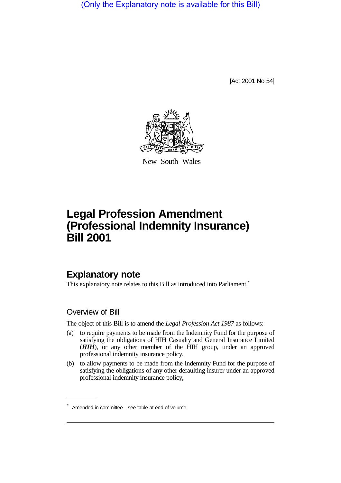(Only the Explanatory note is available for this Bill)

[Act 2001 No 54]



New South Wales

# **Legal Profession Amendment (Professional Indemnity Insurance) Bill 2001**

# **Explanatory note**

This explanatory note relates to this Bill as introduced into Parliament.<sup>\*</sup>

### Overview of Bill

The object of this Bill is to amend the *Legal Profession Act 1987* as follows:

- (a) to require payments to be made from the Indemnity Fund for the purpose of satisfying the obligations of HIH Casualty and General Insurance Limited (*HIH*), or any other member of the HIH group, under an approved professional indemnity insurance policy,
- (b) to allow payments to be made from the Indemnity Fund for the purpose of satisfying the obligations of any other defaulting insurer under an approved professional indemnity insurance policy,

<sup>\*</sup> Amended in committee—see table at end of volume.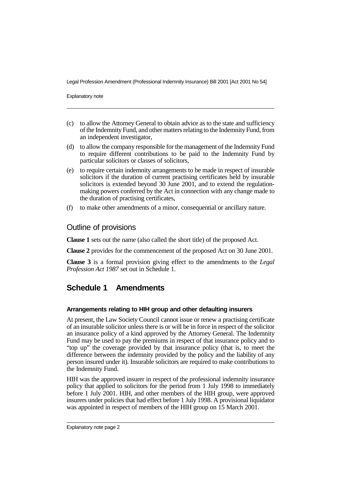Explanatory note

- (c) to allow the Attorney General to obtain advice as to the state and sufficiency of the Indemnity Fund, and other matters relating to the Indemnity Fund, from an independent investigator,
- (d) to allow the company responsible for the management of the Indemnity Fund to require different contributions to be paid to the Indemnity Fund by particular solicitors or classes of solicitors,
- (e) to require certain indemnity arrangements to be made in respect of insurable solicitors if the duration of current practising certificates held by insurable solicitors is extended beyond 30 June 2001, and to extend the regulationmaking powers conferred by the Act in connection with any change made to the duration of practising certificates,
- (f) to make other amendments of a minor, consequential or ancillary nature.

### Outline of provisions

**Clause 1** sets out the name (also called the short title) of the proposed Act.

**Clause 2** provides for the commencement of the proposed Act on 30 June 2001.

**Clause 3** is a formal provision giving effect to the amendments to the *Legal Profession Act 1987* set out in Schedule 1.

## **Schedule 1 Amendments**

#### **Arrangements relating to HIH group and other defaulting insurers**

At present, the Law Society Council cannot issue or renew a practising certificate of an insurable solicitor unless there is or will be in force in respect of the solicitor an insurance policy of a kind approved by the Attorney General. The Indemnity Fund may be used to pay the premiums in respect of that insurance policy and to "top up" the coverage provided by that insurance policy (that is, to meet the difference between the indemnity provided by the policy and the liability of any person insured under it). Insurable solicitors are required to make contributions to the Indemnity Fund.

HIH was the approved insurer in respect of the professional indemnity insurance policy that applied to solicitors for the period from 1 July 1998 to immediately before 1 July 2001. HIH, and other members of the HIH group, were approved insurers under policies that had effect before 1 July 1998. A provisional liquidator was appointed in respect of members of the HIH group on 15 March 2001.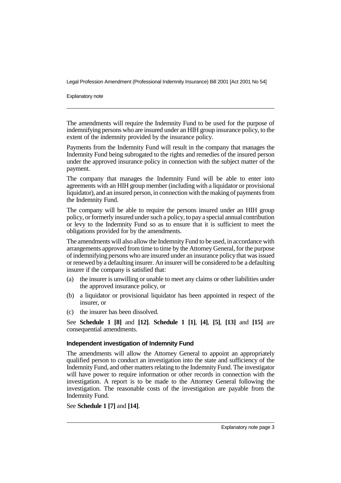Explanatory note

The amendments will require the Indemnity Fund to be used for the purpose of indemnifying persons who are insured under an HIH group insurance policy, to the extent of the indemnity provided by the insurance policy.

Payments from the Indemnity Fund will result in the company that manages the Indemnity Fund being subrogated to the rights and remedies of the insured person under the approved insurance policy in connection with the subject matter of the payment.

The company that manages the Indemnity Fund will be able to enter into agreements with an HIH group member (including with a liquidator or provisional liquidator), and an insured person, in connection with the making of payments from the Indemnity Fund.

The company will be able to require the persons insured under an HIH group policy, or formerly insured under such a policy, to pay a special annual contribution or levy to the Indemnity Fund so as to ensure that it is sufficient to meet the obligations provided for by the amendments.

The amendments will also allow the Indemnity Fund to be used, in accordance with arrangements approved from time to time by the Attorney General, for the purpose of indemnifying persons who are insured under an insurance policy that was issued or renewed by a defaulting insurer. An insurer will be considered to be a defaulting insurer if the company is satisfied that:

- (a) the insurer is unwilling or unable to meet any claims or other liabilities under the approved insurance policy, or
- (b) a liquidator or provisional liquidator has been appointed in respect of the insurer, or
- (c) the insurer has been dissolved.

See **Schedule 1 [8]** and **[12]**. **Schedule 1 [1]**, **[4]**, **[5]**, **[13]** and **[15]** are consequential amendments.

#### **Independent investigation of Indemnity Fund**

The amendments will allow the Attorney General to appoint an appropriately qualified person to conduct an investigation into the state and sufficiency of the Indemnity Fund, and other matters relating to the Indemnity Fund. The investigator will have power to require information or other records in connection with the investigation. A report is to be made to the Attorney General following the investigation. The reasonable costs of the investigation are payable from the Indemnity Fund.

#### See **Schedule 1 [7]** and **[14]**.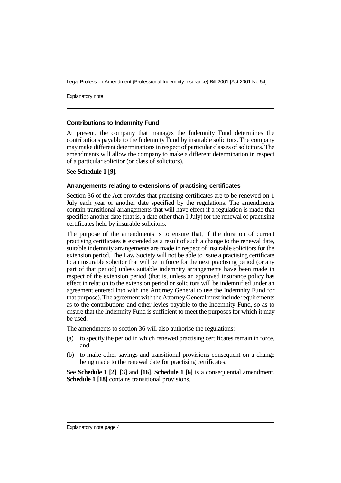Explanatory note

#### **Contributions to Indemnity Fund**

At present, the company that manages the Indemnity Fund determines the contributions payable to the Indemnity Fund by insurable solicitors. The company may make different determinations in respect of particular classes of solicitors. The amendments will allow the company to make a different determination in respect of a particular solicitor (or class of solicitors).

See **Schedule 1 [9]**.

#### **Arrangements relating to extensions of practising certificates**

Section 36 of the Act provides that practising certificates are to be renewed on 1 July each year or another date specified by the regulations. The amendments contain transitional arrangements that will have effect if a regulation is made that specifies another date (that is, a date other than 1 July) for the renewal of practising certificates held by insurable solicitors.

The purpose of the amendments is to ensure that, if the duration of current practising certificates is extended as a result of such a change to the renewal date, suitable indemnity arrangements are made in respect of insurable solicitors for the extension period. The Law Society will not be able to issue a practising certificate to an insurable solicitor that will be in force for the next practising period (or any part of that period) unless suitable indemnity arrangements have been made in respect of the extension period (that is, unless an approved insurance policy has effect in relation to the extension period or solicitors will be indemnified under an agreement entered into with the Attorney General to use the Indemnity Fund for that purpose). The agreement with the Attorney General must include requirements as to the contributions and other levies payable to the Indemnity Fund, so as to ensure that the Indemnity Fund is sufficient to meet the purposes for which it may be used.

The amendments to section 36 will also authorise the regulations:

- (a) to specify the period in which renewed practising certificates remain in force, and
- (b) to make other savings and transitional provisions consequent on a change being made to the renewal date for practising certificates.

See **Schedule 1 [2]**, **[3]** and **[16]**. **Schedule 1 [6]** is a consequential amendment. **Schedule 1 [18]** contains transitional provisions.